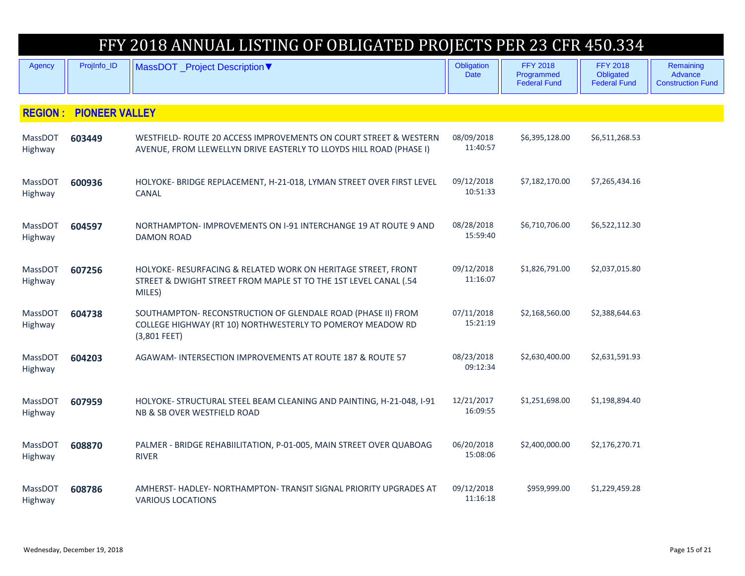| FFY 2018 ANNUAL LISTING OF OBLIGATED PROJECTS PER 23 CFR 450.334 |                       |                                                                                                                                             |                           |                                                      |                                                     |                                                  |
|------------------------------------------------------------------|-----------------------|---------------------------------------------------------------------------------------------------------------------------------------------|---------------------------|------------------------------------------------------|-----------------------------------------------------|--------------------------------------------------|
| <b>Agency</b>                                                    | ProjInfo_ID           | MassDOT _Project Description ▼                                                                                                              | Obligation<br><b>Date</b> | <b>FFY 2018</b><br>Programmed<br><b>Federal Fund</b> | <b>FFY 2018</b><br>Obligated<br><b>Federal Fund</b> | Remaining<br>Advance<br><b>Construction Fund</b> |
| <b>REGION:</b>                                                   | <b>PIONEER VALLEY</b> |                                                                                                                                             |                           |                                                      |                                                     |                                                  |
|                                                                  |                       |                                                                                                                                             |                           |                                                      |                                                     |                                                  |
| MassDOT<br>Highway                                               | 603449                | WESTFIELD- ROUTE 20 ACCESS IMPROVEMENTS ON COURT STREET & WESTERN<br>AVENUE, FROM LLEWELLYN DRIVE EASTERLY TO LLOYDS HILL ROAD (PHASE I)    | 08/09/2018<br>11:40:57    | \$6,395,128.00                                       | \$6,511,268.53                                      |                                                  |
| MassDOT<br>Highway                                               | 600936                | HOLYOKE- BRIDGE REPLACEMENT, H-21-018, LYMAN STREET OVER FIRST LEVEL<br>CANAL                                                               | 09/12/2018<br>10:51:33    | \$7,182,170.00                                       | \$7,265,434.16                                      |                                                  |
| <b>MassDOT</b><br>Highway                                        | 604597                | NORTHAMPTON-IMPROVEMENTS ON I-91 INTERCHANGE 19 AT ROUTE 9 AND<br><b>DAMON ROAD</b>                                                         | 08/28/2018<br>15:59:40    | \$6,710,706.00                                       | \$6,522,112.30                                      |                                                  |
| MassDOT<br>Highway                                               | 607256                | HOLYOKE- RESURFACING & RELATED WORK ON HERITAGE STREET, FRONT<br>STREET & DWIGHT STREET FROM MAPLE ST TO THE 1ST LEVEL CANAL (.54<br>MILES) | 09/12/2018<br>11:16:07    | \$1,826,791.00                                       | \$2,037,015.80                                      |                                                  |
| <b>MassDOT</b><br>Highway                                        | 604738                | SOUTHAMPTON-RECONSTRUCTION OF GLENDALE ROAD (PHASE II) FROM<br>COLLEGE HIGHWAY (RT 10) NORTHWESTERLY TO POMEROY MEADOW RD<br>(3,801 FEET)   | 07/11/2018<br>15:21:19    | \$2,168,560.00                                       | \$2,388,644.63                                      |                                                  |
| MassDOT<br>Highway                                               | 604203                | AGAWAM- INTERSECTION IMPROVEMENTS AT ROUTE 187 & ROUTE 57                                                                                   | 08/23/2018<br>09:12:34    | \$2,630,400.00                                       | \$2,631,591.93                                      |                                                  |
| <b>MassDOT</b><br>Highway                                        | 607959                | HOLYOKE- STRUCTURAL STEEL BEAM CLEANING AND PAINTING, H-21-048, I-91<br>NB & SB OVER WESTFIELD ROAD                                         | 12/21/2017<br>16:09:55    | \$1,251,698.00                                       | \$1,198,894.40                                      |                                                  |
| <b>MassDOT</b><br>Highway                                        | 608870                | PALMER - BRIDGE REHABIILITATION, P-01-005, MAIN STREET OVER QUABOAG<br><b>RIVER</b>                                                         | 06/20/2018<br>15:08:06    | \$2,400,000.00                                       | \$2,176,270.71                                      |                                                  |
| <b>MassDOT</b><br>Highway                                        | 608786                | AMHERST-HADLEY-NORTHAMPTON-TRANSIT SIGNAL PRIORITY UPGRADES AT<br><b>VARIOUS LOCATIONS</b>                                                  | 09/12/2018<br>11:16:18    | \$959,999.00                                         | \$1,229,459.28                                      |                                                  |